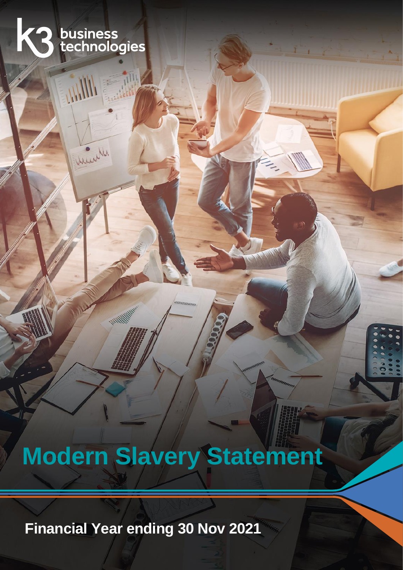

Winter

# **Modern Slavery Statement**

**Financial Year ending 30 Nov 2021**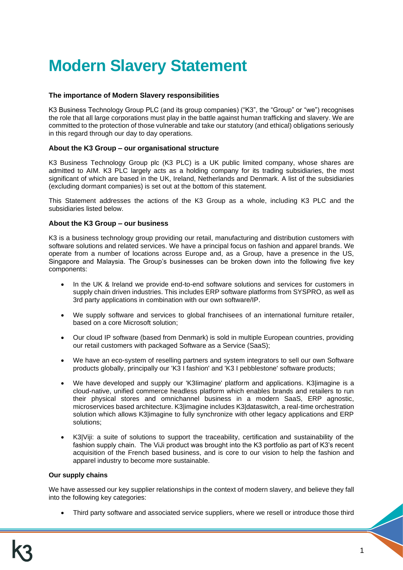# **Modern Slavery Statement**

## **The importance of Modern Slavery responsibilities**

K3 Business Technology Group PLC (and its group companies) ("K3", the "Group" or "we") recognises the role that all large corporations must play in the battle against human trafficking and slavery. We are committed to the protection of those vulnerable and take our statutory (and ethical) obligations seriously in this regard through our day to day operations.

# **About the K3 Group – our organisational structure**

K3 Business Technology Group plc (K3 PLC) is a UK public limited company, whose shares are admitted to AIM. K3 PLC largely acts as a holding company for its trading subsidiaries, the most significant of which are based in the UK, Ireland, Netherlands and Denmark. A list of the subsidiaries (excluding dormant companies) is set out at the bottom of this statement.

This Statement addresses the actions of the K3 Group as a whole, including K3 PLC and the subsidiaries listed below.

### **About the K3 Group – our business**

K3 is a business technology group providing our retail, manufacturing and distribution customers with software solutions and related services. We have a principal focus on fashion and apparel brands. We operate from a number of locations across Europe and, as a Group, have a presence in the US, Singapore and Malaysia. The Group's businesses can be broken down into the following five key components:

- In the UK & Ireland we provide end-to-end software solutions and services for customers in supply chain driven industries. This includes ERP software platforms from SYSPRO, as well as 3rd party applications in combination with our own software/IP.
- We supply software and services to global franchisees of an international furniture retailer, based on a core Microsoft solution;
- Our cloud IP software (based from Denmark) is sold in multiple European countries, providing our retail customers with packaged Software as a Service (SaaS);
- We have an eco-system of reselling partners and system integrators to sell our own Software products globally, principally our 'K3 I fashion' and 'K3 I pebblestone' software products;
- We have developed and supply our 'K3Iimagine' platform and applications. K3|imagine is a cloud-native, unified commerce headless platform which enables brands and retailers to run their physical stores and omnichannel business in a modern SaaS, ERP agnostic, microservices based architecture. K3|imagine includes K3|dataswitch, a real-time orchestration solution which allows K3|imagine to fully synchronize with other legacy applications and ERP solutions;
- K3|Viji: a suite of solutions to support the traceability, certification and sustainability of the fashion supply chain. The ViJi product was brought into the K3 portfolio as part of K3's recent acquisition of the French based business, and is core to our vision to help the fashion and apparel industry to become more sustainable.

#### **Our supply chains**

We have assessed our key supplier relationships in the context of modern slavery, and believe they fall into the following key categories:

• Third party software and associated service suppliers, where we resell or introduce those third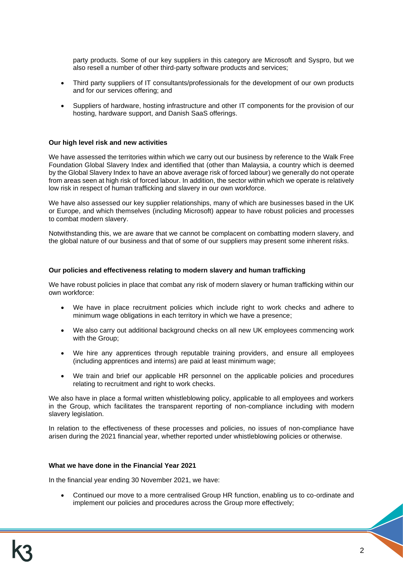party products. Some of our key suppliers in this category are Microsoft and Syspro, but we also resell a number of other third-party software products and services;

- Third party suppliers of IT consultants/professionals for the development of our own products and for our services offering; and
- Suppliers of hardware, hosting infrastructure and other IT components for the provision of our hosting, hardware support, and Danish SaaS offerings.

#### **Our high level risk and new activities**

We have assessed the territories within which we carry out our business by reference to the Walk Free Foundation Global Slavery Index and identified that (other than Malaysia, a country which is deemed by the Global Slavery Index to have an above average risk of forced labour) we generally do not operate from areas seen at high risk of forced labour. In addition, the sector within which we operate is relatively low risk in respect of human trafficking and slavery in our own workforce.

We have also assessed our key supplier relationships, many of which are businesses based in the UK or Europe, and which themselves (including Microsoft) appear to have robust policies and processes to combat modern slavery.

Notwithstanding this, we are aware that we cannot be complacent on combatting modern slavery, and the global nature of our business and that of some of our suppliers may present some inherent risks.

#### **Our policies and effectiveness relating to modern slavery and human trafficking**

We have robust policies in place that combat any risk of modern slavery or human trafficking within our own workforce:

- We have in place recruitment policies which include right to work checks and adhere to minimum wage obligations in each territory in which we have a presence;
- We also carry out additional background checks on all new UK employees commencing work with the Group;
- We hire any apprentices through reputable training providers, and ensure all employees (including apprentices and interns) are paid at least minimum wage;
- We train and brief our applicable HR personnel on the applicable policies and procedures relating to recruitment and right to work checks.

We also have in place a formal written whistleblowing policy, applicable to all employees and workers in the Group, which facilitates the transparent reporting of non-compliance including with modern slavery legislation.

In relation to the effectiveness of these processes and policies, no issues of non-compliance have arisen during the 2021 financial year, whether reported under whistleblowing policies or otherwise.

#### **What we have done in the Financial Year 2021**

In the financial year ending 30 November 2021, we have:

• Continued our move to a more centralised Group HR function, enabling us to co-ordinate and implement our policies and procedures across the Group more effectively;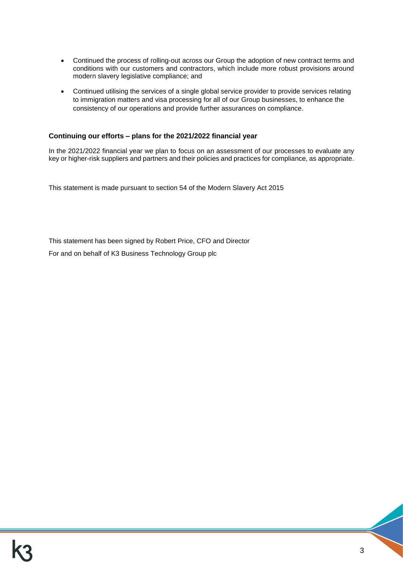- Continued the process of rolling-out across our Group the adoption of new contract terms and conditions with our customers and contractors, which include more robust provisions around modern slavery legislative compliance; and
- Continued utilising the services of a single global service provider to provide services relating to immigration matters and visa processing for all of our Group businesses, to enhance the consistency of our operations and provide further assurances on compliance.

# **Continuing our efforts – plans for the 2021/2022 financial year**

In the 2021/2022 financial year we plan to focus on an assessment of our processes to evaluate any key or higher-risk suppliers and partners and their policies and practices for compliance, as appropriate.

This statement is made pursuant to section 54 of the Modern Slavery Act 2015

This statement has been signed by Robert Price, CFO and Director

For and on behalf of K3 Business Technology Group plc